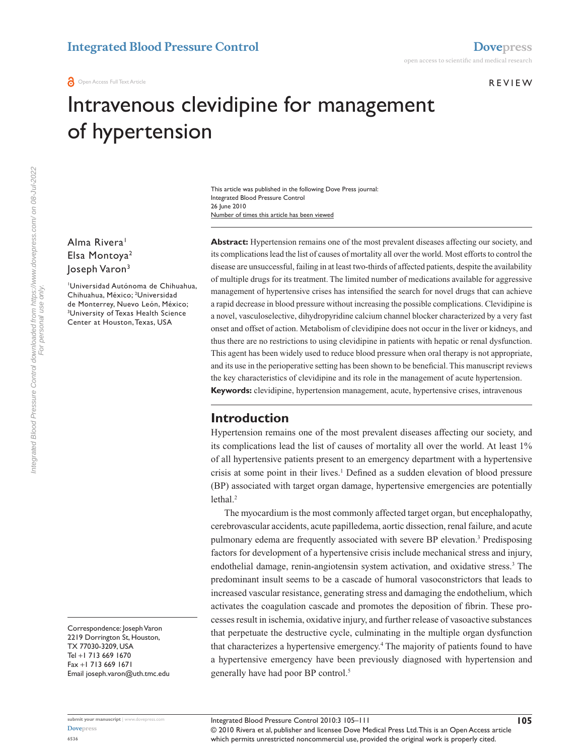#### **REVIEW**

# Intravenous clevidipine for management of hypertension

Number of times this article has been viewed This article was published in the following Dove Press journal: Integrated Blood Pressure Control 26 June 2010

Alma Rivera<sup>1</sup> Elsa Montoya2 Joseph Varon3

1 Universidad Autónoma de Chihuahua, Chihuahua, México; 2 Universidad de Monterrey, Nuevo León, México; 3 University of Texas Health Science Center at Houston, Texas, USA

Correspondence: Joseph Varon 2219 Dorrington St, Houston, TX 77030‑3209, USA Tel +1 713 669 1670 Fax +1 713 669 1671 Email joseph.varon@uth.tmc.edu **Abstract:** Hypertension remains one of the most prevalent diseases affecting our society, and its complications lead the list of causes of mortality all over the world. Most efforts to control the disease are unsuccessful, failing in at least two-thirds of affected patients, despite the availability of multiple drugs for its treatment. The limited number of medications available for aggressive management of hypertensive crises has intensified the search for novel drugs that can achieve a rapid decrease in blood pressure without increasing the possible complications. Clevidipine is a novel, vasculoselective, dihydropyridine calcium channel blocker characterized by a very fast onset and offset of action. Metabolism of clevidipine does not occur in the liver or kidneys, and thus there are no restrictions to using clevidipine in patients with hepatic or renal dysfunction. This agent has been widely used to reduce blood pressure when oral therapy is not appropriate, and its use in the perioperative setting has been shown to be beneficial. This manuscript reviews the key characteristics of clevidipine and its role in the management of acute hypertension. **Keywords:** clevidipine, hypertension management, acute, hypertensive crises, intravenous

## **Introduction**

Hypertension remains one of the most prevalent diseases affecting our society, and its complications lead the list of causes of mortality all over the world. At least 1% of all hypertensive patients present to an emergency department with a hypertensive crisis at some point in their lives.<sup>1</sup> Defined as a sudden elevation of blood pressure (BP) associated with target organ damage, hypertensive emergencies are potentially lethal.<sup>2</sup>

The myocardium is the most commonly affected target organ, but encephalopathy, cerebrovascular accidents, acute papilledema, aortic dissection, renal failure, and acute pulmonary edema are frequently associated with severe BP elevation.<sup>3</sup> Predisposing factors for development of a hypertensive crisis include mechanical stress and injury, endothelial damage, renin-angiotensin system activation, and oxidative stress.<sup>3</sup> The predominant insult seems to be a cascade of humoral vasoconstrictors that leads to increased vascular resistance, generating stress and damaging the endothelium, which activates the coagulation cascade and promotes the deposition of fibrin. These processes result in ischemia, oxidative injury, and further release of vasoactive substances that perpetuate the destructive cycle, culminating in the multiple organ dysfunction that characterizes a hypertensive emergency.4 The majority of patients found to have a hypertensive emergency have been previously diagnosed with hypertension and generally have had poor BP control.5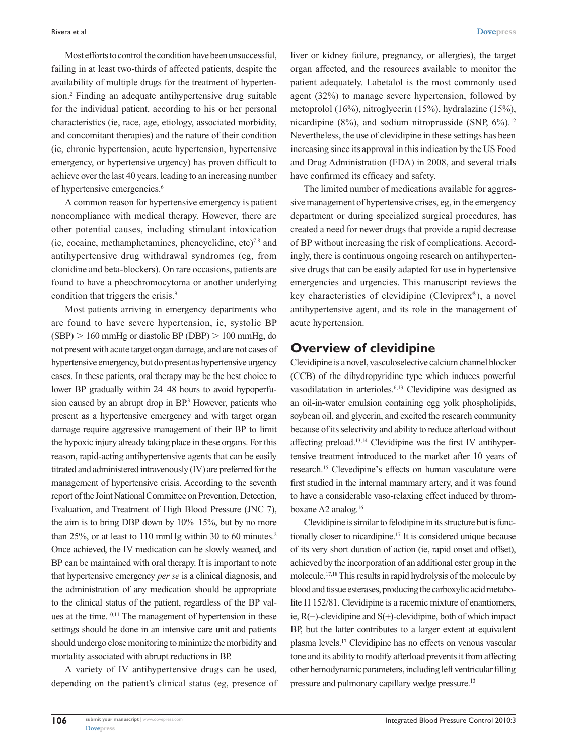Most efforts to control the condition have been unsuccessful, failing in at least two-thirds of affected patients, despite the availability of multiple drugs for the treatment of hypertension.2 Finding an adequate antihypertensive drug suitable for the individual patient, according to his or her personal characteristics (ie, race, age, etiology, associated morbidity, and concomitant therapies) and the nature of their condition (ie, chronic hypertension, acute hypertension, hypertensive emergency, or hypertensive urgency) has proven difficult to achieve over the last 40 years, leading to an increasing number of hypertensive emergencies.<sup>6</sup>

A common reason for hypertensive emergency is patient noncompliance with medical therapy. However, there are other potential causes, including stimulant intoxication (ie, cocaine, methamphetamines, phencyclidine, etc)<sup>7,8</sup> and antihypertensive drug withdrawal syndromes (eg, from clonidine and beta-blockers). On rare occasions, patients are found to have a pheochromocytoma or another underlying condition that triggers the crisis.<sup>9</sup>

Most patients arriving in emergency departments who are found to have severe hypertension, ie, systolic BP  $(SBP) > 160$  mmHg or diastolic BP (DBP)  $> 100$  mmHg, do not present with acute target organ damage, and are not cases of hypertensive emergency, but do present as hypertensive urgency cases. In these patients, oral therapy may be the best choice to lower BP gradually within 24–48 hours to avoid hypoperfusion caused by an abrupt drop in BP.<sup>3</sup> However, patients who present as a hypertensive emergency and with target organ damage require aggressive management of their BP to limit the hypoxic injury already taking place in these organs. For this reason, rapid-acting antihypertensive agents that can be easily titrated and administered intravenously (IV) are preferred for the management of hypertensive crisis. According to the seventh report of the Joint National Committee on Prevention, Detection, Evaluation, and Treatment of High Blood Pressure (JNC 7), the aim is to bring DBP down by  $10\%$ – $15\%$ , but by no more than 25%, or at least to 110 mmHg within 30 to 60 minutes.2 Once achieved, the IV medication can be slowly weaned, and BP can be maintained with oral therapy. It is important to note that hypertensive emergency *per se* is a clinical diagnosis, and the administration of any medication should be appropriate to the clinical status of the patient, regardless of the BP values at the time.<sup>10,11</sup> The management of hypertension in these settings should be done in an intensive care unit and patients should undergo close monitoring to minimize the morbidity and mortality associated with abrupt reductions in BP.

A variety of IV antihypertensive drugs can be used, depending on the patient's clinical status (eg, presence of

liver or kidney failure, pregnancy, or allergies), the target organ affected, and the resources available to monitor the patient adequately. Labetalol is the most commonly used agent (32%) to manage severe hypertension, followed by metoprolol (16%), nitroglycerin (15%), hydralazine (15%), nicardipine (8%), and sodium nitroprusside (SNP,  $6\%$ ).<sup>12</sup> Nevertheless, the use of clevidipine in these settings has been increasing since its approval in this indication by the US Food and Drug Administration (FDA) in 2008, and several trials have confirmed its efficacy and safety.

The limited number of medications available for aggressive management of hypertensive crises, eg, in the emergency department or during specialized surgical procedures, has created a need for newer drugs that provide a rapid decrease of BP without increasing the risk of complications. Accordingly, there is continuous ongoing research on antihypertensive drugs that can be easily adapted for use in hypertensive emergencies and urgencies. This manuscript reviews the key characteristics of clevidipine (Cleviprex®), a novel antihypertensive agent, and its role in the management of acute hypertension.

## **Overview of clevidipine**

Clevidipine is a novel, vasculoselective calcium channel blocker (CCB) of the dihydropyridine type which induces powerful vasodilatation in arterioles.6,13 Clevidipine was designed as an oil-in-water emulsion containing egg yolk phospholipids, soybean oil, and glycerin, and excited the research community because of its selectivity and ability to reduce afterload without affecting preload.13,14 Clevidipine was the first IV antihypertensive treatment introduced to the market after 10 years of research.15 Clevedipine's effects on human vasculature were first studied in the internal mammary artery, and it was found to have a considerable vaso-relaxing effect induced by thromboxane A2 analog.16

Clevidipine is similar to felodipine in its structure but is functionally closer to nicardipine.17 It is considered unique because of its very short duration of action (ie, rapid onset and offset), achieved by the incorporation of an additional ester group in the molecule.17,18 This results in rapid hydrolysis of the molecule by blood and tissue esterases, producing the carboxylic acid metabolite H 152/81. Clevidipine is a racemic mixture of enantiomers, ie,  $R(-)$ -clevidipine and  $S(+)$ -clevidipine, both of which impact BP, but the latter contributes to a larger extent at equivalent plasma levels.17 Clevidipine has no effects on venous vascular tone and its ability to modify afterload prevents it from affecting other hemodynamic parameters, including left ventricular filling pressure and pulmonary capillary wedge pressure.13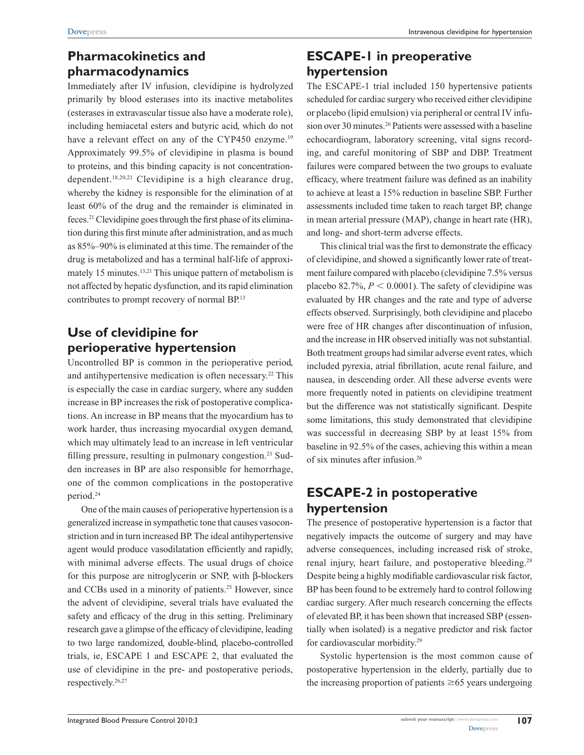# **Pharmacokinetics and pharmacodynamics**

Immediately after IV infusion, clevidipine is hydrolyzed primarily by blood esterases into its inactive metabolites (esterases in extravascular tissue also have a moderate role), including hemiacetal esters and butyric acid, which do not have a relevant effect on any of the CYP450 enzyme.<sup>19</sup> Approximately 99.5% of clevidipine in plasma is bound to proteins, and this binding capacity is not concentrationdependent.<sup>18,20,21</sup> Clevidipine is a high clearance drug, whereby the kidney is responsible for the elimination of at least 60% of the drug and the remainder is eliminated in feces.21 Clevidipine goes through the first phase of its elimination during this first minute after administration, and as much as 85%–90% is eliminated at this time. The remainder of the drug is metabolized and has a terminal half-life of approximately 15 minutes.<sup>13,21</sup> This unique pattern of metabolism is not affected by hepatic dysfunction, and its rapid elimination contributes to prompt recovery of normal BP.13

# **Use of clevidipine for perioperative hypertension**

Uncontrolled BP is common in the perioperative period, and antihypertensive medication is often necessary.<sup>22</sup> This is especially the case in cardiac surgery, where any sudden increase in BP increases the risk of postoperative complications. An increase in BP means that the myocardium has to work harder, thus increasing myocardial oxygen demand, which may ultimately lead to an increase in left ventricular filling pressure, resulting in pulmonary congestion.<sup>23</sup> Sudden increases in BP are also responsible for hemorrhage, one of the common complications in the postoperative period.24

One of the main causes of perioperative hypertension is a generalized increase in sympathetic tone that causes vasoconstriction and in turn increased BP. The ideal antihypertensive agent would produce vasodilatation efficiently and rapidly, with minimal adverse effects. The usual drugs of choice for this purpose are nitroglycerin or SNP, with β-blockers and CCBs used in a minority of patients.25 However, since the advent of clevidipine, several trials have evaluated the safety and efficacy of the drug in this setting. Preliminary research gave a glimpse of the efficacy of clevidipine, leading to two large randomized, double-blind, placebo-controlled trials, ie, ESCAPE 1 and ESCAPE 2, that evaluated the use of clevidipine in the pre- and postoperative periods, respectively.26,27

# **ESCAPE-1 in preoperative hypertension**

The ESCAPE-1 trial included 150 hypertensive patients scheduled for cardiac surgery who received either clevidipine or placebo (lipid emulsion) via peripheral or central IV infusion over 30 minutes.26 Patients were assessed with a baseline echocardiogram, laboratory screening, vital signs recording, and careful monitoring of SBP and DBP. Treatment failures were compared between the two groups to evaluate efficacy, where treatment failure was defined as an inability to achieve at least a 15% reduction in baseline SBP. Further assessments included time taken to reach target BP, change in mean arterial pressure (MAP), change in heart rate (HR), and long- and short-term adverse effects.

This clinical trial was the first to demonstrate the efficacy of clevidipine, and showed a significantly lower rate of treatment failure compared with placebo (clevidipine 7.5% versus placebo 82.7%,  $P < 0.0001$ ). The safety of clevidipine was evaluated by HR changes and the rate and type of adverse effects observed. Surprisingly, both clevidipine and placebo were free of HR changes after discontinuation of infusion, and the increase in HR observed initially was not substantial. Both treatment groups had similar adverse event rates, which included pyrexia, atrial fibrillation, acute renal failure, and nausea, in descending order. All these adverse events were more frequently noted in patients on clevidipine treatment but the difference was not statistically significant. Despite some limitations, this study demonstrated that clevidipine was successful in decreasing SBP by at least 15% from baseline in 92.5% of the cases, achieving this within a mean of six minutes after infusion.26

# **ESCAPE-2 in postoperative hypertension**

The presence of postoperative hypertension is a factor that negatively impacts the outcome of surgery and may have adverse consequences, including increased risk of stroke, renal injury, heart failure, and postoperative bleeding.<sup>28</sup> Despite being a highly modifiable cardiovascular risk factor, BP has been found to be extremely hard to control following cardiac surgery. After much research concerning the effects of elevated BP, it has been shown that increased SBP (essentially when isolated) is a negative predictor and risk factor for cardiovascular morbidity.29

Systolic hypertension is the most common cause of postoperative hypertension in the elderly, partially due to the increasing proportion of patients  $\geq 65$  years undergoing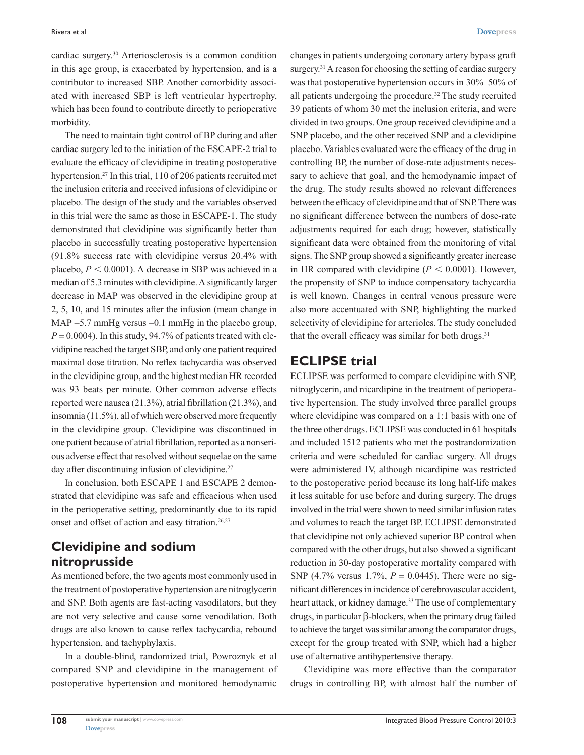cardiac surgery.30 Arteriosclerosis is a common condition in this age group, is exacerbated by hypertension, and is a contributor to increased SBP. Another comorbidity associated with increased SBP is left ventricular hypertrophy, which has been found to contribute directly to perioperative morbidity.

The need to maintain tight control of BP during and after cardiac surgery led to the initiation of the ESCAPE-2 trial to evaluate the efficacy of clevidipine in treating postoperative hypertension.<sup>27</sup> In this trial, 110 of 206 patients recruited met the inclusion criteria and received infusions of clevidipine or placebo. The design of the study and the variables observed in this trial were the same as those in ESCAPE-1. The study demonstrated that clevidipine was significantly better than placebo in successfully treating postoperative hypertension (91.8% success rate with clevidipine versus 20.4% with placebo,  $P < 0.0001$ ). A decrease in SBP was achieved in a median of 5.3 minutes with clevidipine. A significantly larger decrease in MAP was observed in the clevidipine group at 2, 5, 10, and 15 minutes after the infusion (mean change in MAP  $-5.7$  mmHg versus  $-0.1$  mmHg in the placebo group,  $P = 0.0004$ ). In this study, 94.7% of patients treated with clevidipine reached the target SBP, and only one patient required maximal dose titration. No reflex tachycardia was observed in the clevidipine group, and the highest median HR recorded was 93 beats per minute. Other common adverse effects reported were nausea (21.3%), atrial fibrillation (21.3%), and insomnia (11.5%), all of which were observed more frequently in the clevidipine group. Clevidipine was discontinued in one patient because of atrial fibrillation, reported as a nonserious adverse effect that resolved without sequelae on the same day after discontinuing infusion of clevidipine.<sup>27</sup>

In conclusion, both ESCAPE 1 and ESCAPE 2 demonstrated that clevidipine was safe and efficacious when used in the perioperative setting, predominantly due to its rapid onset and offset of action and easy titration.<sup>26,27</sup>

## **Clevidipine and sodium nitroprusside**

As mentioned before, the two agents most commonly used in the treatment of postoperative hypertension are nitroglycerin and SNP. Both agents are fast-acting vasodilators, but they are not very selective and cause some venodilation. Both drugs are also known to cause reflex tachycardia, rebound hypertension, and tachyphylaxis.

In a double-blind, randomized trial, Powroznyk et al compared SNP and clevidipine in the management of postoperative hypertension and monitored hemodynamic changes in patients undergoing coronary artery bypass graft surgery.<sup>31</sup> A reason for choosing the setting of cardiac surgery was that postoperative hypertension occurs in 30%–50% of all patients undergoing the procedure.32 The study recruited 39 patients of whom 30 met the inclusion criteria, and were divided in two groups. One group received clevidipine and a SNP placebo, and the other received SNP and a clevidipine placebo. Variables evaluated were the efficacy of the drug in controlling BP, the number of dose-rate adjustments necessary to achieve that goal, and the hemodynamic impact of the drug. The study results showed no relevant differences between the efficacy of clevidipine and that of SNP. There was no significant difference between the numbers of dose-rate adjustments required for each drug; however, statistically significant data were obtained from the monitoring of vital signs. The SNP group showed a significantly greater increase in HR compared with clevidipine  $(P < 0.0001)$ . However, the propensity of SNP to induce compensatory tachycardia is well known. Changes in central venous pressure were also more accentuated with SNP, highlighting the marked selectivity of clevidipine for arterioles. The study concluded that the overall efficacy was similar for both drugs.<sup>31</sup>

## **ECLIPSE trial**

ECLIPSE was performed to compare clevidipine with SNP, nitroglycerin, and nicardipine in the treatment of perioperative hypertension. The study involved three parallel groups where clevidipine was compared on a 1:1 basis with one of the three other drugs. ECLIPSE was conducted in 61 hospitals and included 1512 patients who met the postrandomization criteria and were scheduled for cardiac surgery. All drugs were administered IV, although nicardipine was restricted to the postoperative period because its long half-life makes it less suitable for use before and during surgery. The drugs involved in the trial were shown to need similar infusion rates and volumes to reach the target BP. ECLIPSE demonstrated that clevidipine not only achieved superior BP control when compared with the other drugs, but also showed a significant reduction in 30-day postoperative mortality compared with SNP (4.7% versus 1.7%, *P* = 0.0445). There were no significant differences in incidence of cerebrovascular accident, heart attack, or kidney damage.<sup>33</sup> The use of complementary drugs, in particular β-blockers, when the primary drug failed to achieve the target was similar among the comparator drugs, except for the group treated with SNP, which had a higher use of alternative antihypertensive therapy.

Clevidipine was more effective than the comparator drugs in controlling BP, with almost half the number of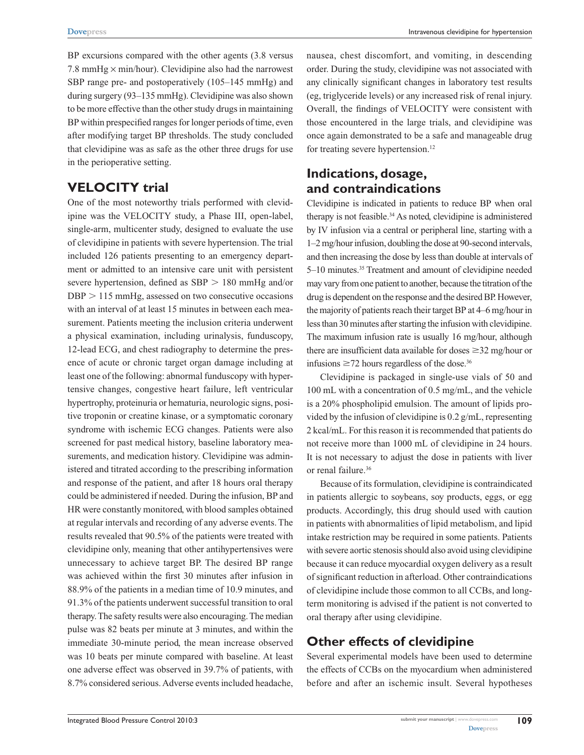BP excursions compared with the other agents (3.8 versus 7.8 mmHg  $\times$  min/hour). Clevidipine also had the narrowest SBP range pre- and postoperatively (105–145 mmHg) and during surgery (93–135 mmHg). Clevidipine was also shown to be more effective than the other study drugs in maintaining BP within prespecified ranges for longer periods of time, even after modifying target BP thresholds. The study concluded that clevidipine was as safe as the other three drugs for use in the perioperative setting.

## **VELOCITY trial**

One of the most noteworthy trials performed with clevidipine was the VELOCITY study, a Phase III, open-label, single-arm, multicenter study, designed to evaluate the use of clevidipine in patients with severe hypertension. The trial included 126 patients presenting to an emergency department or admitted to an intensive care unit with persistent severe hypertension, defined as  $SBP > 180$  mmHg and/or  $DBP > 115$  mmHg, assessed on two consecutive occasions with an interval of at least 15 minutes in between each measurement. Patients meeting the inclusion criteria underwent a physical examination, including urinalysis, funduscopy, 12-lead ECG, and chest radiography to determine the presence of acute or chronic target organ damage including at least one of the following: abnormal funduscopy with hypertensive changes, congestive heart failure, left ventricular hypertrophy, proteinuria or hematuria, neurologic signs, positive troponin or creatine kinase, or a symptomatic coronary syndrome with ischemic ECG changes. Patients were also screened for past medical history, baseline laboratory measurements, and medication history. Clevidipine was administered and titrated according to the prescribing information and response of the patient, and after 18 hours oral therapy could be administered if needed. During the infusion, BP and HR were constantly monitored, with blood samples obtained at regular intervals and recording of any adverse events. The results revealed that 90.5% of the patients were treated with clevidipine only, meaning that other antihypertensives were unnecessary to achieve target BP. The desired BP range was achieved within the first 30 minutes after infusion in 88.9% of the patients in a median time of 10.9 minutes, and 91.3% of the patients underwent successful transition to oral therapy. The safety results were also encouraging. The median pulse was 82 beats per minute at 3 minutes, and within the immediate 30-minute period, the mean increase observed was 10 beats per minute compared with baseline. At least one adverse effect was observed in 39.7% of patients, with 8.7% considered serious. Adverse events included headache,

nausea, chest discomfort, and vomiting, in descending order. During the study, clevidipine was not associated with any clinically significant changes in laboratory test results (eg, triglyceride levels) or any increased risk of renal injury. Overall, the findings of VELOCITY were consistent with those encountered in the large trials, and clevidipine was once again demonstrated to be a safe and manageable drug for treating severe hypertension.<sup>12</sup>

## **Indications, dosage, and contraindications**

Clevidipine is indicated in patients to reduce BP when oral therapy is not feasible.<sup>34</sup> As noted, clevidipine is administered by IV infusion via a central or peripheral line, starting with a 1–2mg/hour infusion, doubling the dose at 90-second intervals, and then increasing the dose by less than double at intervals of 5–10 minutes.35 Treatment and amount of clevidipine needed may vary from one patient to another, because the titration of the drug is dependent on the response and the desired BP. However, the majority of patients reach their target BP at 4–6 mg/hour in less than 30 minutes after starting the infusion with clevidipine. The maximum infusion rate is usually 16 mg/hour, although there are insufficient data available for doses  $\geq$ 32 mg/hour or infusions  $\geq$ 72 hours regardless of the dose.<sup>36</sup>

Clevidipine is packaged in single-use vials of 50 and 100 mL with a concentration of 0.5 mg/mL, and the vehicle is a 20% phospholipid emulsion. The amount of lipids provided by the infusion of clevidipine is 0.2 g/mL, representing 2 kcal/mL. For this reason it is recommended that patients do not receive more than 1000 mL of clevidipine in 24 hours. It is not necessary to adjust the dose in patients with liver or renal failure.<sup>36</sup>

Because of its formulation, clevidipine is contraindicated in patients allergic to soybeans, soy products, eggs, or egg products. Accordingly, this drug should used with caution in patients with abnormalities of lipid metabolism, and lipid intake restriction may be required in some patients. Patients with severe aortic stenosis should also avoid using clevidipine because it can reduce myocardial oxygen delivery as a result of significant reduction in afterload. Other contraindications of clevidipine include those common to all CCBs, and longterm monitoring is advised if the patient is not converted to oral therapy after using clevidipine.

## **Other effects of clevidipine**

Several experimental models have been used to determine the effects of CCBs on the myocardium when administered before and after an ischemic insult. Several hypotheses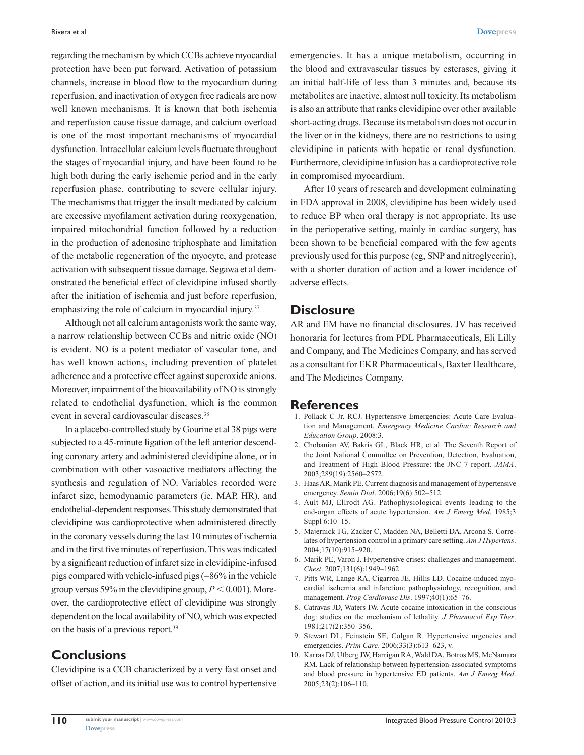regarding the mechanism by which CCBs achieve myocardial protection have been put forward. Activation of potassium channels, increase in blood flow to the myocardium during reperfusion, and inactivation of oxygen free radicals are now well known mechanisms. It is known that both ischemia and reperfusion cause tissue damage, and calcium overload is one of the most important mechanisms of myocardial dysfunction. Intracellular calcium levels fluctuate throughout the stages of myocardial injury, and have been found to be high both during the early ischemic period and in the early reperfusion phase, contributing to severe cellular injury. The mechanisms that trigger the insult mediated by calcium are excessive myofilament activation during reoxygenation, impaired mitochondrial function followed by a reduction in the production of adenosine triphosphate and limitation of the metabolic regeneration of the myocyte, and protease activation with subsequent tissue damage. Segawa et al demonstrated the beneficial effect of clevidipine infused shortly after the initiation of ischemia and just before reperfusion, emphasizing the role of calcium in myocardial injury.<sup>37</sup>

Although not all calcium antagonists work the same way, a narrow relationship between CCBs and nitric oxide (NO) is evident. NO is a potent mediator of vascular tone, and has well known actions, including prevention of platelet adherence and a protective effect against superoxide anions. Moreover, impairment of the bioavailability of NO is strongly related to endothelial dysfunction, which is the common event in several cardiovascular diseases.<sup>38</sup>

In a placebo-controlled study by Gourine et al 38 pigs were subjected to a 45-minute ligation of the left anterior descending coronary artery and administered clevidipine alone, or in combination with other vasoactive mediators affecting the synthesis and regulation of NO. Variables recorded were infarct size, hemodynamic parameters (ie, MAP, HR), and endothelial-dependent responses. This study demonstrated that clevidipine was cardioprotective when administered directly in the coronary vessels during the last 10 minutes of ischemia and in the first five minutes of reperfusion. This was indicated by a significant reduction of infarct size in clevidipine-infused pigs compared with vehicle-infused pigs (-86% in the vehicle group versus 59% in the clevidipine group,  $P < 0.001$ ). Moreover, the cardioprotective effect of clevidipine was strongly dependent on the local availability of NO, which was expected on the basis of a previous report.39

## **Conclusions**

Clevidipine is a CCB characterized by a very fast onset and offset of action, and its initial use was to control hypertensive emergencies. It has a unique metabolism, occurring in the blood and extravascular tissues by esterases, giving it an initial half-life of less than 3 minutes and, because its metabolites are inactive, almost null toxicity. Its metabolism is also an attribute that ranks clevidipine over other available short-acting drugs. Because its metabolism does not occur in the liver or in the kidneys, there are no restrictions to using clevidipine in patients with hepatic or renal dysfunction. Furthermore, clevidipine infusion has a cardioprotective role in compromised myocardium.

After 10 years of research and development culminating in FDA approval in 2008, clevidipine has been widely used to reduce BP when oral therapy is not appropriate. Its use in the perioperative setting, mainly in cardiac surgery, has been shown to be beneficial compared with the few agents previously used for this purpose (eg, SNP and nitroglycerin), with a shorter duration of action and a lower incidence of adverse effects.

#### **Disclosure**

AR and EM have no financial disclosures. JV has received honoraria for lectures from PDL Pharmaceuticals, Eli Lilly and Company, and The Medicines Company, and has served as a consultant for EKR Pharmaceuticals, Baxter Healthcare, and The Medicines Company.

#### **References**

- 1. Pollack C Jr. RCJ. Hypertensive Emergencies: Acute Care Evaluation and Management. *Emergency Medicine Cardiac Research and Education Group*. 2008:3.
- 2. Chobanian AV, Bakris GL, Black HR, et al. The Seventh Report of the Joint National Committee on Prevention, Detection, Evaluation, and Treatment of High Blood Pressure: the JNC 7 report. *JAMA*. 2003;289(19):2560–2572.
- 3. Haas AR, Marik PE. Current diagnosis and management of hypertensive emergency. *Semin Dial*. 2006;19(6):502–512.
- 4. Ault MJ, Ellrodt AG. Pathophysiological events leading to the end-organ effects of acute hypertension. *Am J Emerg Med*. 1985;3 Suppl 6:10–15.
- 5. Majernick TG, Zacker C, Madden NA, Belletti DA, Arcona S. Correlates of hypertension control in a primary care setting. *Am J Hypertens*. 2004;17(10):915–920.
- 6. Marik PE, Varon J. Hypertensive crises: challenges and management. *Chest*. 2007;131(6):1949–1962.
- 7. Pitts WR, Lange RA, Cigarroa JE, Hillis LD. Cocaine-induced myocardial ischemia and infarction: pathophysiology, recognition, and management. *Prog Cardiovasc Dis*. 1997;40(1):65–76.
- 8. Catravas JD, Waters IW. Acute cocaine intoxication in the conscious dog: studies on the mechanism of lethality. *J Pharmacol Exp Ther*. 1981;217(2):350–356.
- 9. Stewart DL, Feinstein SE, Colgan R. Hypertensive urgencies and emergencies. *Prim Care*. 2006;33(3):613–623, v.
- 10. Karras DJ, Ufberg JW, Harrigan RA, Wald DA, Botros MS, McNamara RM. Lack of relationship between hypertension-associated symptoms and blood pressure in hypertensive ED patients. *Am J Emerg Med*. 2005;23(2):106–110.